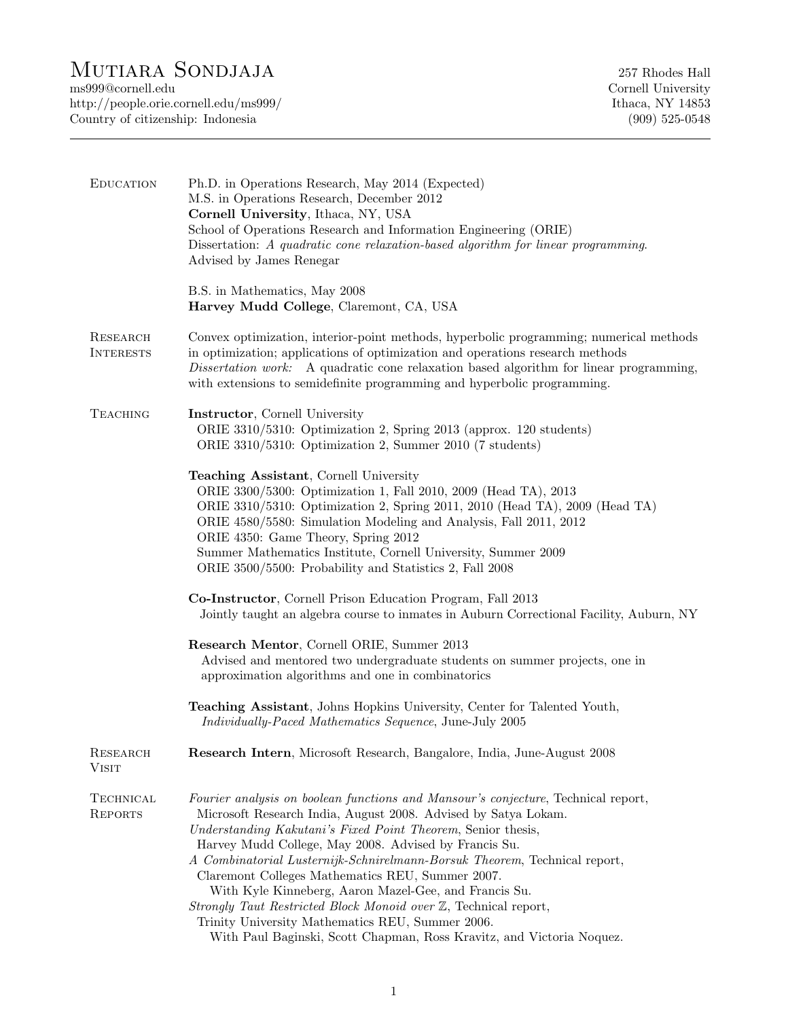## MUTIARA SONDJAJA 257 Rhodes Hall 257 Rhodes Hall Cornell.edu

http://people.orie.cornell.edu/ms999/ Ithaca, NY 14853 Country of citizenship: Indonesia (909) 525-0548

Cornell University

| <b>EDUCATION</b>             | Ph.D. in Operations Research, May 2014 (Expected)<br>M.S. in Operations Research, December 2012<br>Cornell University, Ithaca, NY, USA<br>School of Operations Research and Information Engineering (ORIE)<br>Dissertation: A quadratic cone relaxation-based algorithm for linear programming.<br>Advised by James Renegar                                                                                                                                                                                                                                                                                                                                            |
|------------------------------|------------------------------------------------------------------------------------------------------------------------------------------------------------------------------------------------------------------------------------------------------------------------------------------------------------------------------------------------------------------------------------------------------------------------------------------------------------------------------------------------------------------------------------------------------------------------------------------------------------------------------------------------------------------------|
|                              | B.S. in Mathematics, May 2008<br>Harvey Mudd College, Claremont, CA, USA                                                                                                                                                                                                                                                                                                                                                                                                                                                                                                                                                                                               |
| RESEARCH<br><b>INTERESTS</b> | Convex optimization, interior-point methods, hyperbolic programming; numerical methods<br>in optimization; applications of optimization and operations research methods<br>Dissertation work: A quadratic cone relaxation based algorithm for linear programming,<br>with extensions to semidefinite programming and hyperbolic programming.                                                                                                                                                                                                                                                                                                                           |
| <b>TEACHING</b>              | Instructor, Cornell University<br>ORIE 3310/5310: Optimization 2, Spring 2013 (approx. 120 students)<br>ORIE 3310/5310: Optimization 2, Summer 2010 (7 students)                                                                                                                                                                                                                                                                                                                                                                                                                                                                                                       |
|                              | Teaching Assistant, Cornell University<br>ORIE 3300/5300: Optimization 1, Fall 2010, 2009 (Head TA), 2013<br>ORIE 3310/5310: Optimization 2, Spring 2011, 2010 (Head TA), 2009 (Head TA)<br>ORIE 4580/5580: Simulation Modeling and Analysis, Fall 2011, 2012<br>ORIE 4350: Game Theory, Spring 2012<br>Summer Mathematics Institute, Cornell University, Summer 2009<br>ORIE 3500/5500: Probability and Statistics 2, Fall 2008                                                                                                                                                                                                                                       |
|                              | Co-Instructor, Cornell Prison Education Program, Fall 2013<br>Jointly taught an algebra course to inmates in Auburn Correctional Facility, Auburn, NY                                                                                                                                                                                                                                                                                                                                                                                                                                                                                                                  |
|                              | Research Mentor, Cornell ORIE, Summer 2013<br>Advised and mentored two undergraduate students on summer projects, one in<br>approximation algorithms and one in combinatorics                                                                                                                                                                                                                                                                                                                                                                                                                                                                                          |
|                              | Teaching Assistant, Johns Hopkins University, Center for Talented Youth,<br>Individually-Paced Mathematics Sequence, June-July 2005                                                                                                                                                                                                                                                                                                                                                                                                                                                                                                                                    |
| RESEARCH<br>Visit            | Research Intern, Microsoft Research, Bangalore, India, June-August 2008                                                                                                                                                                                                                                                                                                                                                                                                                                                                                                                                                                                                |
| TECHNICAL<br><b>REPORTS</b>  | Fourier analysis on boolean functions and Mansour's conjecture, Technical report,<br>Microsoft Research India, August 2008. Advised by Satya Lokam.<br>Understanding Kakutani's Fixed Point Theorem, Senior thesis,<br>Harvey Mudd College, May 2008. Advised by Francis Su.<br>A Combinatorial Lusternijk-Schnirelmann-Borsuk Theorem, Technical report,<br>Claremont Colleges Mathematics REU, Summer 2007.<br>With Kyle Kinneberg, Aaron Mazel-Gee, and Francis Su.<br>Strongly Taut Restricted Block Monoid over Z, Technical report,<br>Trinity University Mathematics REU, Summer 2006.<br>With Paul Baginski, Scott Chapman, Ross Kravitz, and Victoria Noquez. |